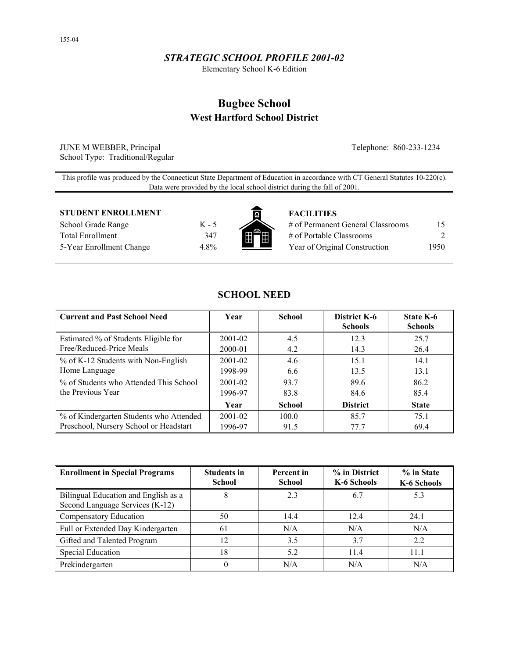## *STRATEGIC SCHOOL PROFILE 2001-02*

Elementary School K-6 Edition

# **Bugbee School West Hartford School District**

JUNE M WEBBER, Principal Telephone: 860-233-1234 School Type: Traditional/Regular

This profile was produced by the Connecticut State Department of Education in accordance with CT General Statutes 10-220(c). Data were provided by the local school district during the fall of 2001.

### **STUDENT ENROLLMENT FACILITIES**

School Grade Range K - 5 Total Enrollment 347 5-Year Enrollment Change 4.8%



| # of Permanent General Classrooms | 15   |
|-----------------------------------|------|
| # of Portable Classrooms          |      |
| Year of Original Construction     | 1950 |

| <b>Current and Past School Need</b>     | Year        | <b>School</b> | District K-6<br><b>Schools</b> | State K-6<br><b>Schools</b> |
|-----------------------------------------|-------------|---------------|--------------------------------|-----------------------------|
| Estimated % of Students Eligible for    | 2001-02     | 4.5           | 12.3                           | 25.7                        |
| Free/Reduced-Price Meals                | 2000-01     | 4.2           | 14.3                           | 26.4                        |
| % of K-12 Students with Non-English     | $2001 - 02$ | 4.6           | 15.1                           | 14.1                        |
| Home Language                           | 1998-99     | 6.6           | 13.5                           | 13.1                        |
| % of Students who Attended This School  | $2001 - 02$ | 93.7          | 89.6                           | 86.2                        |
| the Previous Year                       | 1996-97     | 83.8          | 84.6                           | 85.4                        |
|                                         | Year        | <b>School</b> | <b>District</b>                | <b>State</b>                |
| % of Kindergarten Students who Attended | $2001 - 02$ | 100.0         | 85.7                           | 75.1                        |
| Preschool, Nursery School or Headstart  | 1996-97     | 91.5          | 77.7                           | 69.4                        |

**SCHOOL NEED** 

| <b>Enrollment in Special Programs</b>                                   | <b>Students in</b><br><b>School</b> | Percent in<br><b>School</b> | % in District<br>K-6 Schools | % in State<br>K-6 Schools |
|-------------------------------------------------------------------------|-------------------------------------|-----------------------------|------------------------------|---------------------------|
| Bilingual Education and English as a<br>Second Language Services (K-12) |                                     | 2.3                         | 6.7                          | 5.3                       |
| Compensatory Education                                                  | 50                                  | 14.4                        | 12.4                         | 24.1                      |
| Full or Extended Day Kindergarten                                       | 61                                  | N/A                         | N/A                          | N/A                       |
| Gifted and Talented Program                                             | 12                                  | 3.5                         | 3.7                          | 2.2                       |
| <b>Special Education</b>                                                | 18                                  | 5.2                         | 11.4                         | 11.1                      |
| Prekindergarten                                                         |                                     | N/A                         | N/A                          | N/A                       |

155-04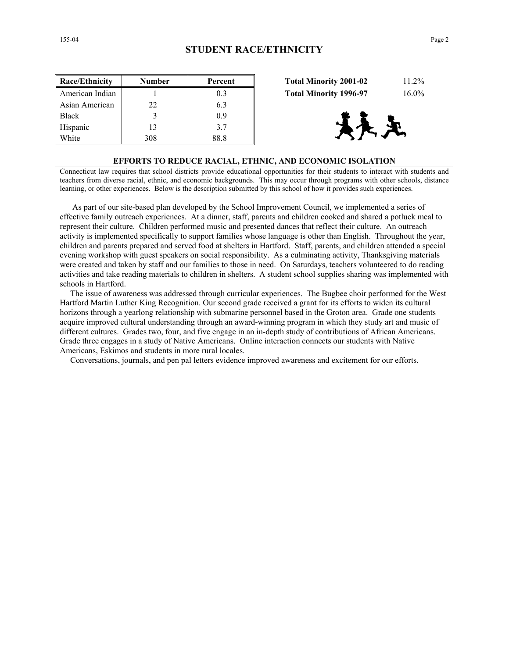| <b>Race/Ethnicity</b> | <b>Number</b> | Percent | $11.2\%$<br><b>Total Minority 2001-02</b> |
|-----------------------|---------------|---------|-------------------------------------------|
| American Indian       |               | 0.3     | <b>Total Minority 1996-97</b><br>$16.0\%$ |
| Asian American        | 22            | 6.3     |                                           |
| <b>Black</b>          |               | 0.9     |                                           |
| Hispanic              | 13            | 3.7     | 天王                                        |
| White                 | 308           | 88.8    |                                           |

| <b>Total Minority 2001-02</b> | $11.2\%$ |
|-------------------------------|----------|
| <b>Total Minority 1996-97</b> | $16.0\%$ |



#### **EFFORTS TO REDUCE RACIAL, ETHNIC, AND ECONOMIC ISOLATION**

Connecticut law requires that school districts provide educational opportunities for their students to interact with students and teachers from diverse racial, ethnic, and economic backgrounds. This may occur through programs with other schools, distance learning, or other experiences. Below is the description submitted by this school of how it provides such experiences.

 As part of our site-based plan developed by the School Improvement Council, we implemented a series of effective family outreach experiences. At a dinner, staff, parents and children cooked and shared a potluck meal to represent their culture. Children performed music and presented dances that reflect their culture. An outreach activity is implemented specifically to support families whose language is other than English. Throughout the year, children and parents prepared and served food at shelters in Hartford. Staff, parents, and children attended a special evening workshop with guest speakers on social responsibility. As a culminating activity, Thanksgiving materials were created and taken by staff and our families to those in need. On Saturdays, teachers volunteered to do reading activities and take reading materials to children in shelters. A student school supplies sharing was implemented with schools in Hartford.

 The issue of awareness was addressed through curricular experiences. The Bugbee choir performed for the West Hartford Martin Luther King Recognition. Our second grade received a grant for its efforts to widen its cultural horizons through a yearlong relationship with submarine personnel based in the Groton area. Grade one students acquire improved cultural understanding through an award-winning program in which they study art and music of different cultures. Grades two, four, and five engage in an in-depth study of contributions of African Americans. Grade three engages in a study of Native Americans. Online interaction connects our students with Native Americans, Eskimos and students in more rural locales.

Conversations, journals, and pen pal letters evidence improved awareness and excitement for our efforts.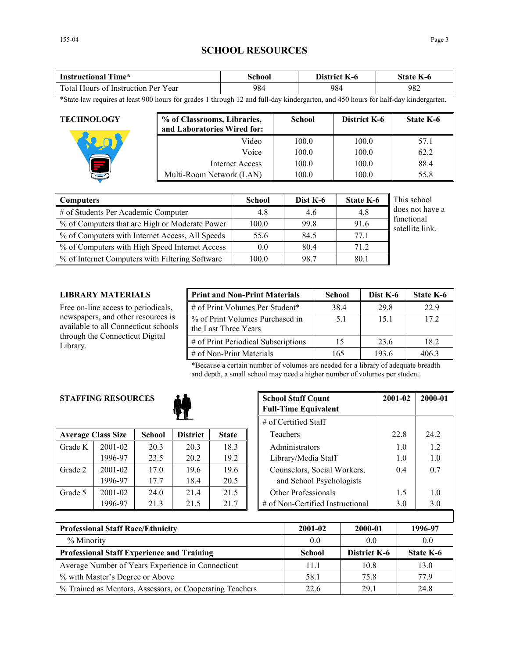## **SCHOOL RESOURCES**

| Time*                               | <b>\chool</b> | District        | state |  |
|-------------------------------------|---------------|-----------------|-------|--|
| Instructional                       |               | $\mathbf{K}$ -0 | K-0   |  |
| Total Hours of Instruction Per Year | 984           | 984             | 982   |  |

\*State law requires at least 900 hours for grades 1 through 12 and full-day kindergarten, and 450 hours for half-day kindergarten.

| <b>TECHNOLOGY</b> | % of Classrooms, Libraries,<br>and Laboratories Wired for: | <b>School</b> | District K-6 | <b>State K-6</b> |
|-------------------|------------------------------------------------------------|---------------|--------------|------------------|
|                   | Video                                                      | 100.0         | 100.0        | 57.1             |
|                   | Voice                                                      | 100.0         | 100.0        | 62.2             |
|                   | Internet Access                                            | 100.0         | 100.0        | 88.4             |
|                   | Multi-Room Network (LAN)                                   | 100.0         | 100.0        | 55.8             |

| <b>Computers</b>                                | <b>School</b> | Dist K-6 | <b>State K-6</b> | This school                   |
|-------------------------------------------------|---------------|----------|------------------|-------------------------------|
| # of Students Per Academic Computer             | 4.8           | 4.6      | 4.8              | does not have a               |
| % of Computers that are High or Moderate Power  | 100.0         | 99.8     | 91.6             | functional<br>satellite link. |
| % of Computers with Internet Access, All Speeds | 55.6          | 84.5     | 77.1             |                               |
| % of Computers with High Speed Internet Access  | 0.0           | 80.4     | 71.2             |                               |
| % of Internet Computers with Filtering Software | 100.0         | 98.7     | 80.1             |                               |

## **LIBRARY MATERIALS**

Free on-line access to periodicals, newspapers, and other resources is available to all Connecticut schools through the Connecticut Digital Library.

| <b>Print and Non-Print Materials</b>                    | <b>School</b> | Dist K-6 | State K-6 |
|---------------------------------------------------------|---------------|----------|-----------|
| # of Print Volumes Per Student*                         | 38.4          | 29.8     | 22.9      |
| % of Print Volumes Purchased in<br>the Last Three Years | 5.1           | 15.1     | 172       |
| # of Print Periodical Subscriptions                     | 15            | 23.6     | 18.2      |
| $\#$ of Non-Print Materials                             | 165           | 193.6    | 4063      |

\*Because a certain number of volumes are needed for a library of adequate breadth and depth, a small school may need a higher number of volumes per student.

## **STAFFING RESOURCES**



|         |                           |               |                 |              | $11.91$ Corrected Drain          |      |
|---------|---------------------------|---------------|-----------------|--------------|----------------------------------|------|
|         | <b>Average Class Size</b> | <b>School</b> | <b>District</b> | <b>State</b> | Teachers                         | 22.8 |
| Grade K | $2001 - 02$               | 20.3          | 20.3            | 18.3         | Administrators                   | 1.0  |
|         | 1996-97                   | 23.5          | 20.2            | 19.2         | Library/Media Staff              | 1.0  |
| Grade 2 | 2001-02                   | 17.0          | 19.6            | 19.6         | Counselors, Social Workers,      | 0.4  |
|         | 1996-97                   | 17.7          | 18.4            | 20.5         | and School Psychologists         |      |
| Grade 5 | 2001-02                   | 24.0          | 214             | 21.5         | Other Professionals              | 1.5  |
|         | 1996-97                   | 21.3          | 21.5            | 21.7         | # of Non-Certified Instructional | 3.0  |

| <b>RESOURCES</b> |               | <b>School Staff Count</b><br><b>Full-Time Equivalent</b> | 2001-02              | 2000-01 |                                  |      |      |
|------------------|---------------|----------------------------------------------------------|----------------------|---------|----------------------------------|------|------|
|                  |               |                                                          | # of Certified Staff |         |                                  |      |      |
| ass Size         | <b>School</b> | <b>District</b>                                          | <b>State</b>         |         | Teachers                         | 22.8 | 24.2 |
| 2001-02          | 20.3          | 20.3                                                     | 18.3                 |         | Administrators                   | 1.0  | 1.2  |
| 1996-97          | 23.5          | 20.2                                                     | 19.2                 |         | Library/Media Staff              | 1.0  | 1.0  |
| 2001-02          | 17.0          | 19.6                                                     | 19.6                 |         | Counselors, Social Workers,      | 0.4  | 0.7  |
| 1996-97          | 17.7          | 18.4                                                     | 20.5                 |         | and School Psychologists         |      |      |
| 2001-02          | 24.0          | 21.4                                                     | 21.5                 |         | <b>Other Professionals</b>       | 1.5  | 1.0  |
| 1996-97          | 21.3          | 21.5                                                     | 21.7                 |         | # of Non-Certified Instructional | 3.0  | 3.0  |

| <b>Professional Staff Race/Ethnicity</b>                 | 2001-02       | 2000-01             | 1996-97   |
|----------------------------------------------------------|---------------|---------------------|-----------|
| % Minority                                               | 0.0           | 0.0                 | 0.0       |
| <b>Professional Staff Experience and Training</b>        | <b>School</b> | <b>District K-6</b> | State K-6 |
| Average Number of Years Experience in Connecticut        | 11.1          | 10 <sub>8</sub>     | 13.0      |
| % with Master's Degree or Above                          | 58.1          | 75.8                | 77 9      |
| % Trained as Mentors, Assessors, or Cooperating Teachers | 22.6          | 29.1                | 24.8      |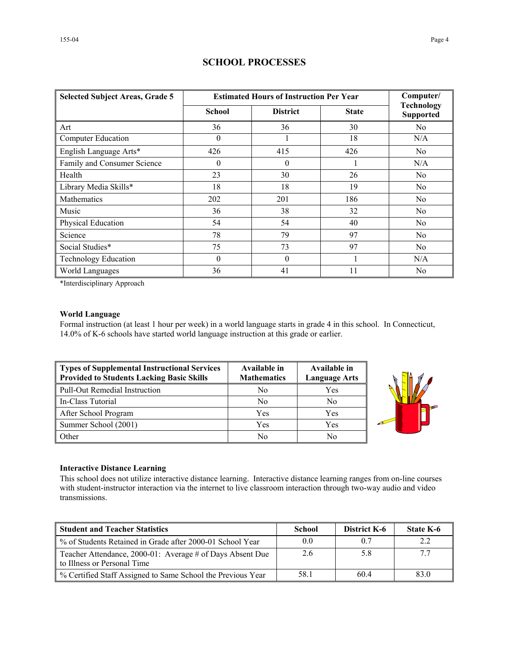| <b>Selected Subject Areas, Grade 5</b> | <b>Estimated Hours of Instruction Per Year</b> | Computer/       |              |                                       |
|----------------------------------------|------------------------------------------------|-----------------|--------------|---------------------------------------|
|                                        | <b>School</b>                                  | <b>District</b> | <b>State</b> | <b>Technology</b><br><b>Supported</b> |
| Art                                    | 36                                             | 36              | 30           | No                                    |
| <b>Computer Education</b>              | $\theta$                                       |                 | 18           | N/A                                   |
| English Language Arts*                 | 426                                            | 415             | 426          | N <sub>0</sub>                        |
| Family and Consumer Science            | $\theta$                                       | $\theta$        |              | N/A                                   |
| Health                                 | 23                                             | 30              | 26           | N <sub>0</sub>                        |
| Library Media Skills*                  | 18                                             | 18              | 19           | N <sub>0</sub>                        |
| <b>Mathematics</b>                     | 202                                            | 201             | 186          | N <sub>0</sub>                        |
| Music                                  | 36                                             | 38              | 32           | N <sub>0</sub>                        |
| Physical Education                     | 54                                             | 54              | 40           | N <sub>0</sub>                        |
| Science                                | 78                                             | 79              | 97           | N <sub>0</sub>                        |
| Social Studies*                        | 75                                             | 73              | 97           | N <sub>0</sub>                        |
| <b>Technology Education</b>            | $\theta$                                       | $\Omega$        |              | N/A                                   |
| World Languages                        | 36                                             | 41              | 11           | N <sub>0</sub>                        |

## **SCHOOL PROCESSES**

\*Interdisciplinary Approach

## **World Language**

Formal instruction (at least 1 hour per week) in a world language starts in grade 4 in this school. In Connecticut, 14.0% of K-6 schools have started world language instruction at this grade or earlier.

| Types of Supplemental Instructional Services<br>Provided to Students Lacking Basic Skills | Available in<br><b>Mathematics</b> | Available in<br><b>Language Arts</b> |
|-------------------------------------------------------------------------------------------|------------------------------------|--------------------------------------|
| Pull-Out Remedial Instruction                                                             | No                                 | Yes                                  |
| In-Class Tutorial                                                                         | N <sub>0</sub>                     | N <sub>0</sub>                       |
| After School Program                                                                      | Yes                                | Yes                                  |
| Summer School (2001)                                                                      | Yes                                | Yes                                  |
| <b>Other</b>                                                                              | No                                 | No                                   |



### **Interactive Distance Learning**

This school does not utilize interactive distance learning. Interactive distance learning ranges from on-line courses with student-instructor interaction via the internet to live classroom interaction through two-way audio and video transmissions.

| <b>Student and Teacher Statistics</b>                                                    | School | <b>District K-6</b> | <b>State K-6</b> |
|------------------------------------------------------------------------------------------|--------|---------------------|------------------|
| ■ % of Students Retained in Grade after 2000-01 School Year                              | 0.0    | 0.7                 |                  |
| Teacher Attendance, 2000-01: Average # of Days Absent Due<br>to Illness or Personal Time | 2.6    | 5.8                 |                  |
| ■ % Certified Staff Assigned to Same School the Previous Year                            | 58.1   | 604                 | 83.0             |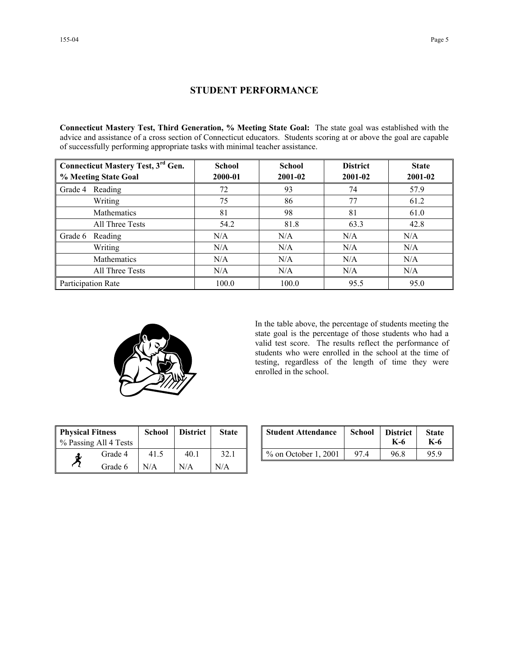## **STUDENT PERFORMANCE**

**Connecticut Mastery Test, Third Generation, % Meeting State Goal:** The state goal was established with the advice and assistance of a cross section of Connecticut educators. Students scoring at or above the goal are capable of successfully performing appropriate tasks with minimal teacher assistance.

| <b>Connecticut Mastery Test, 3rd Gen.</b> | <b>School</b> | <b>School</b> | <b>District</b> | <b>State</b> |
|-------------------------------------------|---------------|---------------|-----------------|--------------|
| % Meeting State Goal                      | 2000-01       | 2001-02       | 2001-02         | 2001-02      |
| Reading<br>Grade 4                        | 72            | 93            | 74              | 57.9         |
| Writing                                   | 75            | 86            | 77              | 61.2         |
| Mathematics                               | 81            | 98            | 81              | 61.0         |
| All Three Tests                           | 54.2          | 81.8          | 63.3            | 42.8         |
| Grade 6<br>Reading                        | N/A           | N/A           | N/A             | N/A          |
| Writing                                   | N/A           | N/A           | N/A             | N/A          |
| Mathematics                               | N/A           | N/A           | N/A             | N/A          |
| All Three Tests                           | N/A           | N/A           | N/A             | N/A          |
| Participation Rate                        | 100.0         | 100.0         | 95.5            | 95.0         |



In the table above, the percentage of students meeting the state goal is the percentage of those students who had a valid test score. The results reflect the performance of students who were enrolled in the school at the time of testing, regardless of the length of time they were enrolled in the school.

| <b>Physical Fitness</b><br>% Passing All 4 Tests |         | <b>School</b> | <b>District</b> | <b>State</b> |
|--------------------------------------------------|---------|---------------|-----------------|--------------|
|                                                  | Grade 4 | 41.5          | 40.1            | 32.1         |
|                                                  | Grade 6 | N/A           | N/A             | N/A          |

| ness<br>ll 4 Tests | <b>School</b> | <b>District</b> | <b>State</b> | <b>Student Attendance</b> | School           | <b>District</b><br>K-6 | <b>State</b><br>K-6 |
|--------------------|---------------|-----------------|--------------|---------------------------|------------------|------------------------|---------------------|
| Grade 4            | 41.5          | 40.1            | 32.1         | $\%$ on October 1, 2001   | $97\,\mathrm{A}$ | 96.8                   | 95.9                |